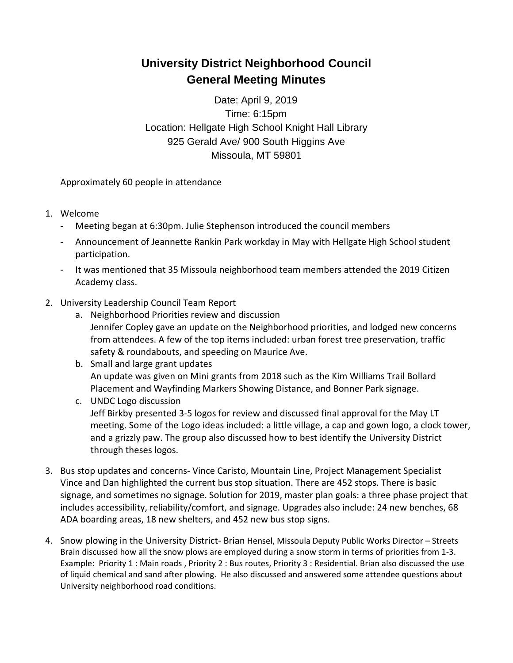## **University District Neighborhood Council General Meeting Minutes**

Date: April 9, 2019 Time: 6:15pm Location: Hellgate High School Knight Hall Library 925 Gerald Ave/ 900 South Higgins Ave Missoula, MT 59801

Approximately 60 people in attendance

- 1. Welcome
	- Meeting began at 6:30pm. Julie Stephenson introduced the council members
	- Announcement of Jeannette Rankin Park workday in May with Hellgate High School student participation.
	- It was mentioned that 35 Missoula neighborhood team members attended the 2019 Citizen Academy class.
- 2. University Leadership Council Team Report
	- a. Neighborhood Priorities review and discussion Jennifer Copley gave an update on the Neighborhood priorities, and lodged new concerns from attendees. A few of the top items included: urban forest tree preservation, traffic safety & roundabouts, and speeding on Maurice Ave.
	- b. Small and large grant updates An update was given on Mini grants from 2018 such as the Kim Williams Trail Bollard Placement and Wayfinding Markers Showing Distance, and Bonner Park signage.
	- c. UNDC Logo discussion Jeff Birkby presented 3-5 logos for review and discussed final approval for the May LT meeting. Some of the Logo ideas included: a little village, a cap and gown logo, a clock tower, and a grizzly paw. The group also discussed how to best identify the University District through theses logos.
- 3. Bus stop updates and concerns- Vince Caristo, Mountain Line, Project Management Specialist Vince and Dan highlighted the current bus stop situation. There are 452 stops. There is basic signage, and sometimes no signage. Solution for 2019, master plan goals: a three phase project that includes accessibility, reliability/comfort, and signage. Upgrades also include: 24 new benches, 68 ADA boarding areas, 18 new shelters, and 452 new bus stop signs.
- 4. Snow plowing in the University District- Brian Hensel, Missoula Deputy Public Works Director Streets Brain discussed how all the snow plows are employed during a snow storm in terms of priorities from 1-3. Example: Priority 1 : Main roads , Priority 2 : Bus routes, Priority 3 : Residential. Brian also discussed the use of liquid chemical and sand after plowing. He also discussed and answered some attendee questions about University neighborhood road conditions.